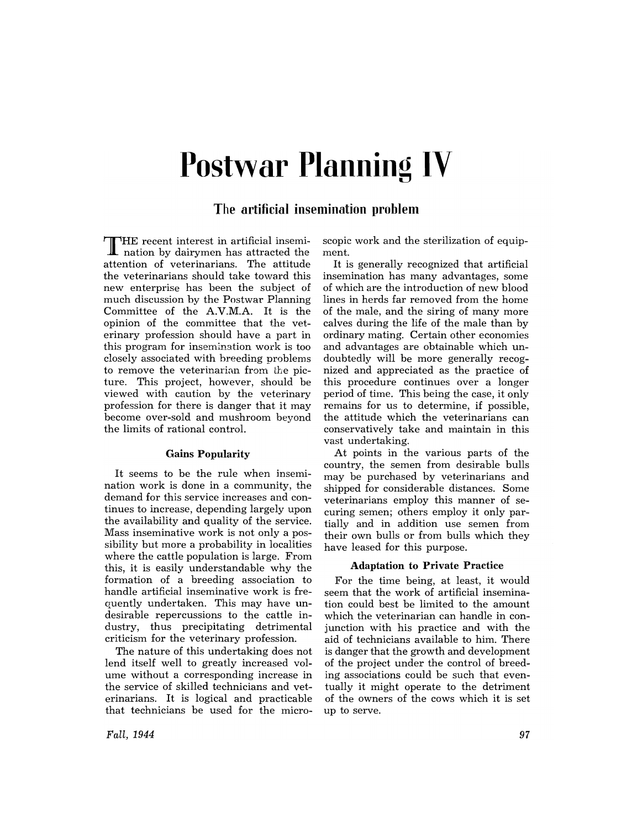# **Postwar Planning IV**

## **The artificial insemination problem**

THE recent interest in artificial insemi-**I** nation by dairymen has attracted the attention of veterinarians. The attitude the veterinarians should take toward this new enterprise has been the subject of much discussion by the Postwar Planning Committee of the A.V.M.A. It is the opinion of the committee that the veterinary profession should have a part in this program for insemination work is too closely associated with breeding problems to remove the veterinarian from the picture. This project, however, should be viewed with caution by the veterinary profession for there is danger that it may become over-sold and mushroom beyond the limits of rational control.

## Gains Popularity

It seems to be the rule when insemination work is done in a community, the demand for this service increases and continues to increase, depending largely upon the availability and quality of the service. Mass inseminative work is not only a possibility but more a probability in localities where the cattle population is large. From this, it is easily understandable why the formation of a breeding association to handle artificial inseminative work is frequently undertaken. This may have undesirable repercussions to the cattle industry, thus precipitating detrimental criticism for the veterinary profession.

The nature of this undertaking does not lend itself well to greatly increased volume without a corresponding increase in the service of skilled technicians and veterinarians. It is logical and practicable that technicians be used for the micro-

*Fall, 1944* 

scopic work and the sterilization of equipment.

It is generally recognized that artificial insemination has many advantages, some of which are the introduction of new blood lines in herds far removed from the home of the male, and the siring of many more calves during the life of the male than by ordinary mating. Certain other economies and advantages are obtainable which undoubtedly will be more generally recognized and appreciated as the practice of this procedure continues over a longer period of time. This being the case, it only remains for us to determine, if possible, the attitude which the veterinarians can conservatively take and maintain in this vast undertaking.

At points in the various parts of the country, the semen from desirable bulls may be purchased by veterinarians and shipped for considerable distances. Some veterinarians employ this manner of securing semen; others employ it only partially and in addition use semen from their own bulls or from bulls which they have leased for this purpose.

#### Adaptation to Private Practice

For the time being, at least, it would seem that the work of artificial insemination could best be limited to the amount which the veterinarian can handle in conjunction with his practice and with the aid of technicians available to him. There is danger that the growth and development of the project under the control of breeding associations could be such that eventually it might operate to the detriment of the owners of the cows which it is set up to serve.